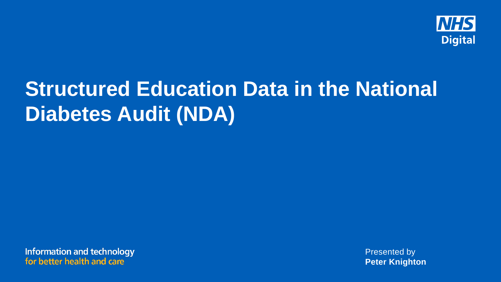

# **Structured Education Data in the National Diabetes Audit (NDA)**

**Information and technology** for better health and care

Presented by **Peter Knighton**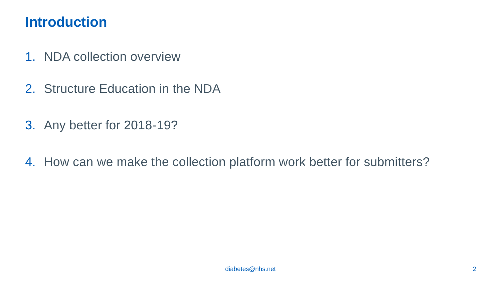### **Introduction**

- 1. NDA collection overview
- 2. Structure Education in the NDA
- 3. Any better for 2018-19?
- 4. How can we make the collection platform work better for submitters?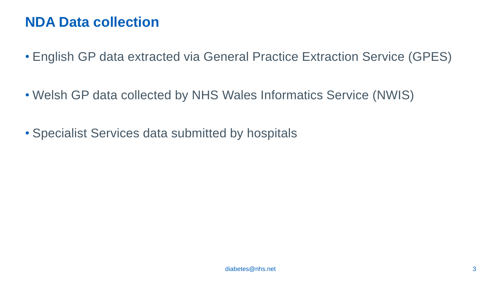### **NDA Data collection**

- English GP data extracted via General Practice Extraction Service (GPES)
- Welsh GP data collected by NHS Wales Informatics Service (NWIS)
- Specialist Services data submitted by hospitals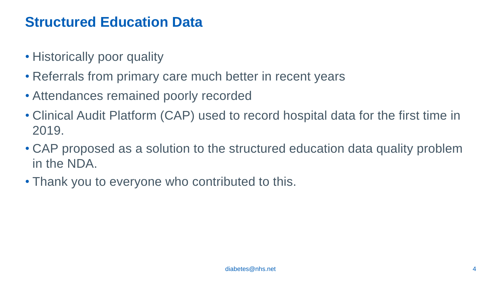### **Structured Education Data**

- Historically poor quality
- Referrals from primary care much better in recent years
- Attendances remained poorly recorded
- Clinical Audit Platform (CAP) used to record hospital data for the first time in 2019.
- CAP proposed as a solution to the structured education data quality problem in the NDA.
- Thank you to everyone who contributed to this.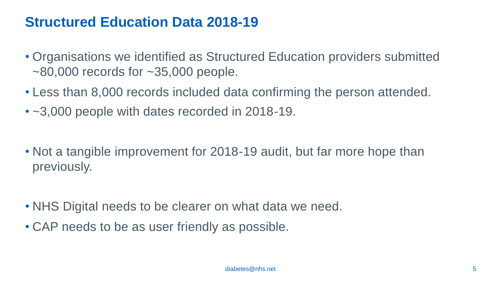### **Structured Education Data 2018-19**

- Organisations we identified as Structured Education providers submitted  $\sim$ 80,000 records for  $\sim$ 35,000 people.
- Less than 8,000 records included data confirming the person attended.
- ~3,000 people with dates recorded in 2018-19.
- Not a tangible improvement for 2018-19 audit, but far more hope than previously.
- NHS Digital needs to be clearer on what data we need.
- CAP needs to be as user friendly as possible.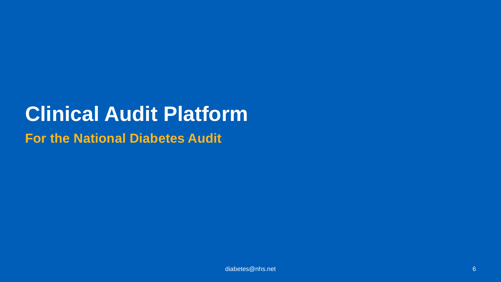## **Clinical Audit Platform For the National Diabetes Audit**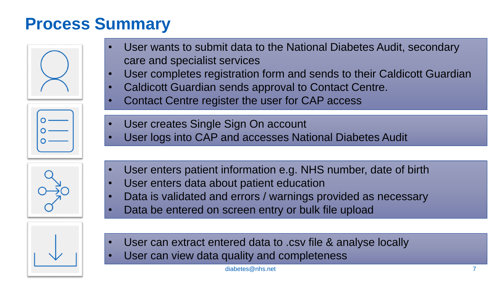## **Process Summary**

- User wants to submit data to the National Diabetes Audit, secondary care and specialist services • User completes registration form and sends to their Caldicott Guardian
	- Caldicott Guardian sends approval to Contact Centre.
	- Contact Centre register the user for CAP access
	- User creates Single Sign On account
	- User logs into CAP and accesses National Diabetes Audit
	- User enters patient information e.g. NHS number, date of birth
	- User enters data about patient education
	- Data is validated and errors / warnings provided as necessary
	- Data be entered on screen entry or bulk file upload
	- User can extract entered data to .csv file & analyse locally
	- User can view data quality and completeness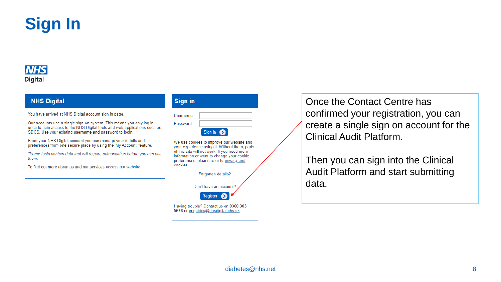

#### **NHS Digital**

#### **NHS Digital**

You have arrived at NHS Digital account sign in page.

Our accounts use a single sign-on system. This means you only log in once to gain access to the NHS Digital tools and web applications such as SDCS. Use your existing username and password to login.

From your NHS Digital account you can manage your details and preferences from one secure place by using the 'My Account' feature.

\*Some tools contain data that will require authorisation before you can use them.

To find out more about us and our services access our website.

| <b>Sign in</b> |                    |
|----------------|--------------------|
| Username       |                    |
| Password       |                    |
|                | Sign in $\bigcirc$ |

We use cookies to improve our website and your experience using it. Without them, parts of this site will not work. If you need more information or want to change your cookie preferences, please refer to privacy and cookies.



Once the Contact Centre has confirmed your registration, you can create a single sign on account for the Clinical Audit Platform.

Then you can sign into the Clinical Audit Platform and start submitting data.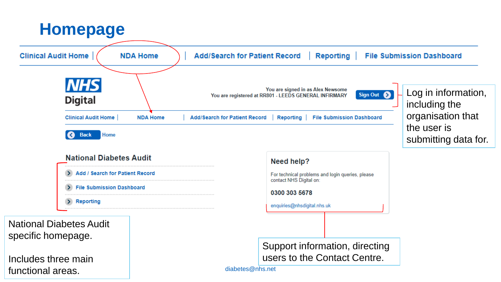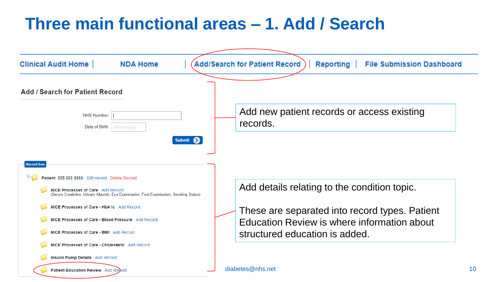## **Three main functional areas – 1. Add / Search**

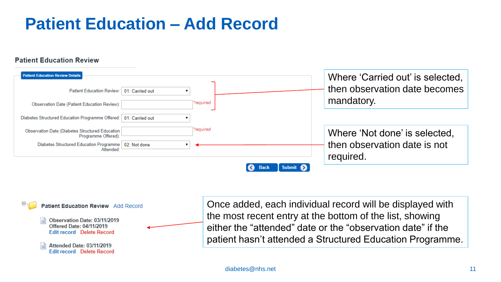## **Patient Education – Add Record**

#### **Patient Education Review**





Once added, each individual record will be displayed with the most recent entry at the bottom of the list, showing either the "attended" date or the "observation date" if the patient hasn't attended a Structured Education Programme.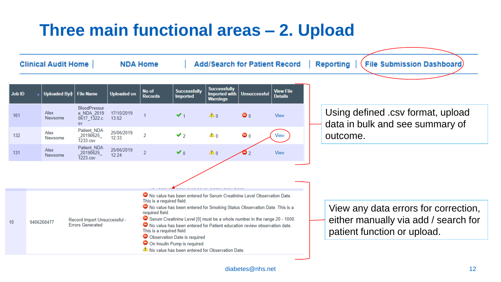## **Three main functional areas – 2. Upload**

| <b>Clinical Audit Home</b> |                                                                                                                                                    | <b>NDA Home</b> |                                                          | <b>Add/Search for Patient Record</b> |                         |                                                                                                                                                                                                                                                                                                                                                                                                                                         |                                                         | <b>File Submission Dashboard</b><br>Reporting |                                    |                                                                                                             |
|----------------------------|----------------------------------------------------------------------------------------------------------------------------------------------------|-----------------|----------------------------------------------------------|--------------------------------------|-------------------------|-----------------------------------------------------------------------------------------------------------------------------------------------------------------------------------------------------------------------------------------------------------------------------------------------------------------------------------------------------------------------------------------------------------------------------------------|---------------------------------------------------------|-----------------------------------------------|------------------------------------|-------------------------------------------------------------------------------------------------------------|
| <b>Job ID</b>              |                                                                                                                                                    |                 | Uploaded By≑ File Name                                   | <b>Uploaded on</b>                   | No of<br><b>Records</b> | <b>Successfully</b><br><b>Imported</b>                                                                                                                                                                                                                                                                                                                                                                                                  | <b>Successfully</b><br>Imported with<br><b>Warnings</b> | <b>Unsuccessful</b>                           | <b>View File</b><br><b>Details</b> |                                                                                                             |
| 161                        |                                                                                                                                                    | Alex<br>Newsome | BloodPressur<br>e NDA 2019<br>$0617$ 1322.c<br><b>SV</b> | 17/10/2019<br>13:52                  |                         | $\vee$ <sub>1</sub>                                                                                                                                                                                                                                                                                                                                                                                                                     | $\triangle$ 0                                           | $\bullet$ <sub>0</sub>                        | View                               | Using defined .csv format, upload<br>data in bulk and see summary of                                        |
| 132                        |                                                                                                                                                    | Alex<br>Newsome | Patient NDA<br>20190625<br>1233.csv                      | 25/06/2019<br>12:33                  | 2                       | $\mathbf{v}_2$                                                                                                                                                                                                                                                                                                                                                                                                                          | ≜ 0                                                     | $\bullet$ <sub>0</sub>                        | View                               | outcome.                                                                                                    |
| 131                        |                                                                                                                                                    | Alex<br>Newsome | Patient NDA<br>20190625<br>1223.csv                      | 25/06/2019<br>12:24                  | $\overline{2}$          | $\vee$ <sub>0</sub>                                                                                                                                                                                                                                                                                                                                                                                                                     | $\triangle$ 0                                           | 9                                             | View                               |                                                                                                             |
|                            |                                                                                                                                                    |                 |                                                          |                                      |                         |                                                                                                                                                                                                                                                                                                                                                                                                                                         |                                                         |                                               |                                    |                                                                                                             |
| 10                         | This is a required field.<br>required field.<br>Record Import Unsuccessful -<br>9406268477<br><b>Errors Generated</b><br>This is a required field. |                 |                                                          |                                      |                         | ◯ No value has been entered for Serum Creatinine Level Observation Date.<br>O No value has been entered for Smoking Status Observation Date. This is a<br>◯ Serum Creatinine Level [0] must be a whole number in the range 20 - 1000.<br>◯ No value has been entered for Patient education review observation date.<br>O Observation Date is required<br>On Insulin Pump is required<br>No value has been entered for Observation Date. |                                                         |                                               |                                    | View any data errors for correction,<br>either manually via add / search for<br>patient function or upload. |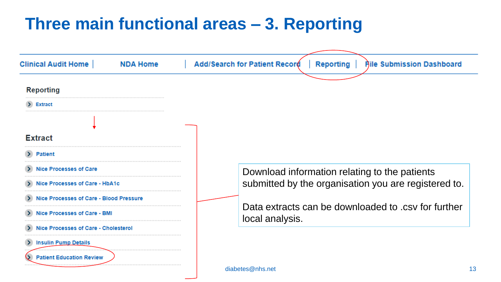## **Three main functional areas – 3. Reporting**

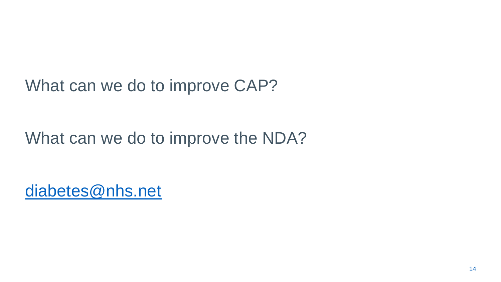What can we do to improve CAP?

### What can we do to improve the NDA?

[diabetes@nhs.net](mailto:diabetes@nhs.net)